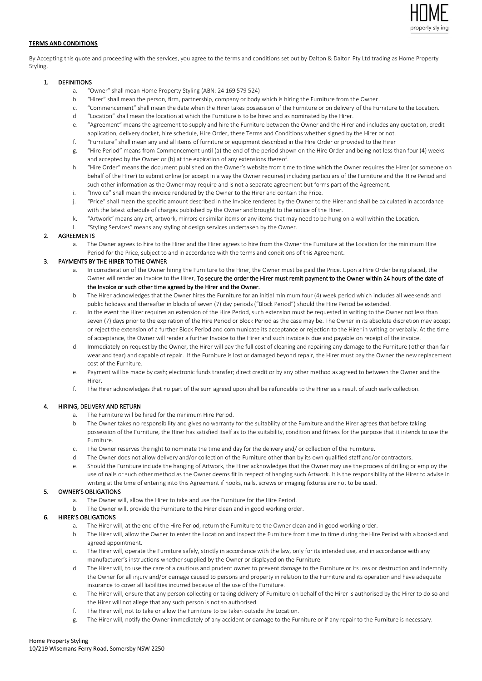

## **TERMS AND CONDITIONS**

By Accepting this quote and proceeding with the services, you agree to the terms and conditions set out by Dalton & Dalton Pty Ltd trading as Home Property Styling.

### 1. DEFINITIONS

- a. "Owner" shall mean Home Property Styling (ABN: 24 169 579 524)
- b. "Hirer" shall mean the person, firm, partnership, company or body which is hiring the Furniture from the Owner.
- c. "Commencement" shall mean the date when the Hirer takes possession of the Furniture or on delivery of the Furniture to the Location. d. "Location" shall mean the location at which the Furniture is to be hired and as nominated by the Hirer.
- e. "Agreement" means the agreement to supply and hire the Furniture between the Owner and the Hirer and includes any quotation, credit
- application, delivery docket, hire schedule, Hire Order, these Terms and Conditions whether signed by the Hirer or not.
- f. "Furniture" shall mean any and all items of furniture or equipment described in the Hire Order or provided to the Hirer
- g. "Hire Period" means from Commencement until (a) the end of the period shown on the Hire Order and being not less than four (4) weeks and accepted by the Owner or (b) at the expiration of any extensions thereof.
- h. "Hire Order" means the document published on the Owner's website from time to time which the Owner requires the Hirer (or someone on behalf of the Hirer) to submit online (or accept in a way the Owner requires) including particulars of the Furniture and the Hire Period and such other information as the Owner may require and is not a separate agreement but forms part of the Agreement.
- i. "Invoice" shall mean the invoice rendered by the Owner to the Hirer and contain the Price.
- j. "Price" shall mean the specific amount described in the Invoice rendered by the Owner to the Hirer and shall be calculated in accordance with the latest schedule of charges published by the Owner and brought to the notice of the Hirer.
- k. "Artwork" means any art, artwork, mirrors or similar items or any items that may need to be hung on a wall within the Location.
- "Styling Services" means any styling of design services undertaken by the Owner.

# 2. AGREEMENTS

a. The Owner agrees to hire to the Hirer and the Hirer agrees to hire from the Owner the Furniture at the Location for the minimum Hire Period for the Price, subject to and in accordance with the terms and conditions of this Agreement.

# 3. PAYMENTS BY THE HIRER TO THE OWNER

- a. In consideration of the Owner hiring the Furniture to the Hirer, the Owner must be paid the Price. Upon a Hire Order being placed, the Owner will render an Invoice to the Hirer. To secure the order the Hirer must remit payment to the Owner within 24 hours of the date of the Invoice or such other time agreed by the Hirer and the Owner.
- b. The Hirer acknowledges that the Owner hires the Furniture for an initial minimum four (4) week period which includes all weekends and public holidays and thereafter in blocks of seven (7) day periods ("Block Period") should the Hire Period be extended.
- c. In the event the Hirer requires an extension of the Hire Period, such extension must be requested in writing to the Owner not less than seven (7) days prior to the expiration of the Hire Period or Block Period as the case may be. The Owner in its absolute discretion may accept or reject the extension of a further Block Period and communicate its acceptance or rejection to the Hirer in writing or verbally. At the time of acceptance, the Owner will render a further Invoice to the Hirer and such invoice is due and payable on receipt of the invoice.
- d. Immediately on request by the Owner, the Hirer will pay the full cost of cleaning and repairing any damage to the Furniture (other than fair wear and tear) and capable of repair. If the Furniture is lost or damaged beyond repair, the Hirer must pay the Owner the new replacement cost of the Furniture.
- e. Payment will be made by cash; electronic funds transfer; direct credit or by any other method as agreed to between the Owner and the Hirer.
- f. The Hirer acknowledges that no part of the sum agreed upon shall be refundable to the Hirer as a result of such early collection.

# 4. HIRING, DELIVERY AND RETURN

- a. The Furniture will be hired for the minimum Hire Period.
- b. The Owner takes no responsibility and gives no warranty for the suitability of the Furniture and the Hirer agrees that before taking possession of the Furniture, the Hirer has satisfied itself as to the suitability, condition and fitness for the purpose that it intends to use the Furniture.
- c. The Owner reserves the right to nominate the time and day for the delivery and/ or collection of the Furniture.
- d. The Owner does not allow delivery and/or collection of the Furniture other than by its own qualified staff and/or contractors.
- e. Should the Furniture include the hanging of Artwork, the Hirer acknowledges that the Owner may use the process of drilling or employ the use of nails or such other method as the Owner deems fit in respect of hanging such Artwork. It is the responsibility of the Hirer to advise in writing at the time of entering into this Agreement if hooks, nails, screws or imaging fixtures are not to be used.

## 5. OWNER'S OBLIGATIONS

- a. The Owner will, allow the Hirer to take and use the Furniture for the Hire Period.
- b. The Owner will, provide the Furniture to the Hirer clean and in good working order.

# 6. HIRER'S OBLIGATIONS

- a. The Hirer will, at the end of the Hire Period, return the Furniture to the Owner clean and in good working order.
- b. The Hirer will, allow the Owner to enter the Location and inspect the Furniture from time to time during the Hire Period with a booked and agreed appointment.
- c. The Hirer will, operate the Furniture safely, strictly in accordance with the law, only for its intended use, and in accordance with any manufacturer's instructions whether supplied by the Owner or displayed on the Furniture.
- d. The Hirer will, to use the care of a cautious and prudent owner to prevent damage to the Furniture or its loss or destruction and indemnify the Owner for all injury and/or damage caused to persons and property in relation to the Furniture and its operation and have adequate insurance to cover all liabilities incurred because of the use of the Furniture.
- e. The Hirer will, ensure that any person collecting or taking delivery of Furniture on behalf of the Hirer is authorised by the Hirer to do so and the Hirer will not allege that any such person is not so authorised.
- f. The Hirer will, not to take or allow the Furniture to be taken outside the Location.
- g. The Hirer will, notify the Owner immediately of any accident or damage to the Furniture or if any repair to the Furniture is necessary.

# Home Property Styling